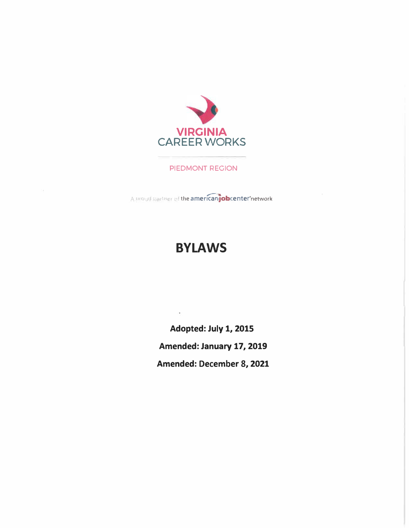

PIEDMONT REGION

proud partner of the americanjobcenter'network

# **BYLAWS**

 $\alpha$ 

**Adopted: July 1, 2015 Amended: January 17, 2019 Amended: December 8, 2021**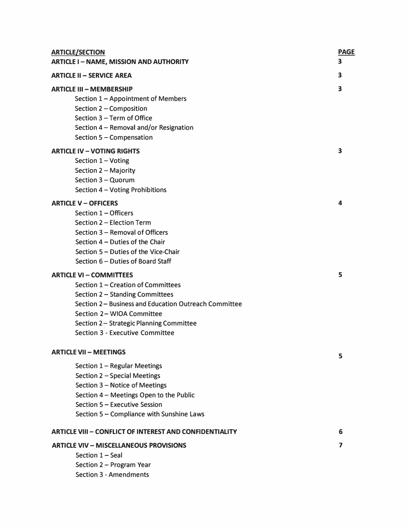| <b>ARTICLE/SECTION</b>                                         | <b>PAGE</b> |
|----------------------------------------------------------------|-------------|
| <b>ARTICLE I - NAME, MISSION AND AUTHORITY</b>                 | 3           |
| <b>ARTICLE II - SERVICE AREA</b>                               | 3           |
| <b>ARTICLE III - MEMBERSHIP</b>                                | 3           |
| Section 1 - Appointment of Members                             |             |
| Section 2 - Composition                                        |             |
| Section 3 - Term of Office                                     |             |
| Section 4 - Removal and/or Resignation                         |             |
| Section 5 - Compensation                                       |             |
| <b>ARTICLE IV - VOTING RIGHTS</b>                              | 3           |
| Section 1 - Voting                                             |             |
| Section 2 - Majority                                           |             |
| Section 3 - Quorum                                             |             |
| Section 4 - Voting Prohibitions                                |             |
| <b>ARTICLE V - OFFICERS</b>                                    | 4           |
| Section 1 - Officers                                           |             |
| Section 2 - Election Term                                      |             |
| Section 3 - Removal of Officers                                |             |
| Section 4 - Duties of the Chair                                |             |
| Section 5 - Duties of the Vice-Chair                           |             |
| Section 6 – Duties of Board Staff                              |             |
| <b>ARTICLE VI - COMMITTEES</b>                                 | 5           |
| Section 1 - Creation of Committees                             |             |
| Section 2 - Standing Committees                                |             |
| Section 2 – Business and Education Outreach Committee          |             |
| Section 2- WIOA Committee                                      |             |
| Section 2- Strategic Planning Committee                        |             |
| <b>Section 3 - Executive Committee</b>                         |             |
| <b>ARTICLE VII - MEETINGS</b>                                  |             |
|                                                                | 5           |
| Section 1 - Regular Meetings                                   |             |
| Section 2 - Special Meetings                                   |             |
| Section 3 - Notice of Meetings                                 |             |
| Section 4 - Meetings Open to the Public                        |             |
| Section 5 - Executive Session                                  |             |
| Section 5 - Compliance with Sunshine Laws                      |             |
| <b>ARTICLE VIII - CONFLICT OF INTEREST AND CONFIDENTIALITY</b> | 6           |
| <b>ARTICLE VIV - MISCELLANEOUS PROVISIONS</b>                  | 7           |
| Section 1 - Seal                                               |             |
| Section 2 - Program Year                                       |             |
| <b>Section 3 - Amendments</b>                                  |             |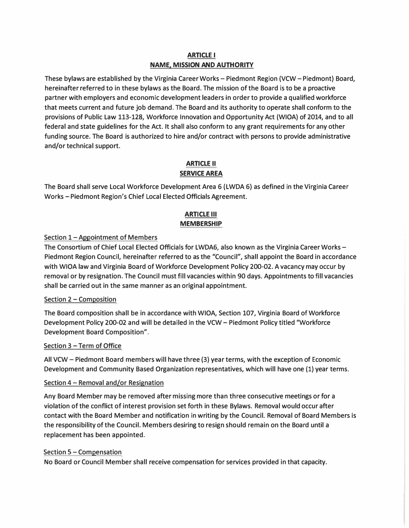# **ARTICLE I NAME. MISSION AND AUTHORITY**

These bylaws are established by the Virginia Career Works-Piedmont Region (VCW-Piedmont) Board, hereinafter referred to in these bylaws as the Board. The mission of the Board is to be a proactive partner with employers and economic development leaders in order to provide a qualified workforce that meets current and future job demand. The Board and its authority to operate shall conform to the provisions of Public Law 113-128, Workforce Innovation and Opportunity Act (WIOA) of 2014, and to all federal and state guidelines for the Act. It shall also conform to any grant requirements for any other funding source. The Board is authorized to hire and/or contract with persons to provide administrative and/or technical support.

# **ARTICLE II SERVICE AREA**

The Board shall serve Local Workforce Development Area 6 (LWDA 6) as defined in the Virginia Career Works - Piedmont Region's Chief Local Elected Officials Agreement.

# **ARTICLE Ill MEMBERSHIP**

# Section 1 – Appointment of Members

The Consortium of Chief Local Elected Officials for LWDA6, also known as the Virginia Career Works -Piedmont Region Council, hereinafter referred to as the "Council", shall appoint the Board in accordance with WIOA law and Virginia Board of Workforce Development Policy 200-02. A vacancy may occur by removal or by resignation. The Council must fill vacancies within 90 days. Appointments to fill vacancies shall be carried out in the same manner as an original appointment.

# Section 2 - Composition

The Board composition shall be in accordance with WIOA, Section 107, Virginia Board of Workforce Development Policy 200-02 and will be detailed in the VCW - Piedmont Policy titled "Workforce Development Board Composition".

# Section 3 - Term of Office

All VCW -Piedmont Board members will have three (3) year terms, with the exception of Economic Development and Community Based Organization representatives, which will have one (1) year terms.

# Section 4 - Removal and/or Resignation

Any Board Member may be removed after missing more than three consecutive meetings or for a violation of the conflict of interest provision set forth in these Bylaws. Removal would occur after contact with the Board Member and notification in writing by the Council. Removal of Board Members is the responsibility of the Council. Members desiring to resign should remain on the Board until a replacement has been appointed.

# Section 5 - Compensation

No Board or Council Member shall receive compensation for services provided in that capacity.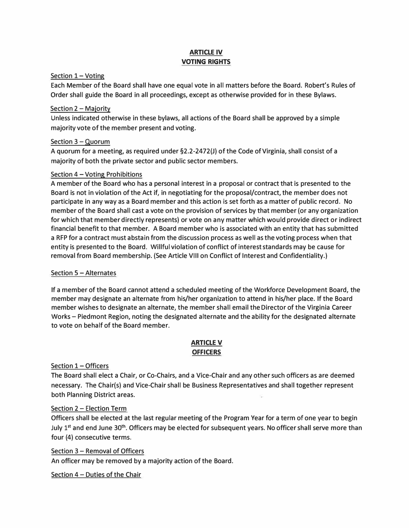# **ARTICLE IV VOTING RIGHTS**

#### Section  $1 -$  Voting

Each Member of the Board shall have one equal vote in all matters before the Board. Robert's Rules of Order shall guide the Board in all proceedings, except as otherwise provided for in these Bylaws.

#### Section  $2 -$  Majority

Unless indicated otherwise in these bylaws, all actions of the Board shall be approved by a simple majority vote of the member present and voting.

#### Section 3 - Quorum

A quorum for a meeting, as required under §2.2-2472(J) of the Code of Virginia, shall consist of a majority of both the private sector and public sector members.

#### Section 4 - Voting Prohibitions

A member of the Board who has a personal interest in a proposal or contract that is presented to the Board is not in violation of the Act if, in negotiating for the proposal/contract, the member does not participate in any way as a Board member and this action is set forth as a matter of public record. No member of the Board shall cast a vote on the provision of services by that member (or any organization for which that member directly represents) or vote on any matter which would provide direct or indirect financial benefit to that member. A Board member who is associated with an entity that has submitted a RFP for a contract must abstain from the discussion process as well as the voting process when that entity is presented to the Board. Willful violation of conflict of interest standards may be cause for removal from Board membership. (See Article VIII on Conflict of Interest and Confidentiality.)

# Section  $5 -$  Alternates

If a member of the Board cannot attend a scheduled meeting of the Workforce Development Board, the member may designate an alternate from his/her organization to attend in his/her place. If the Board member wishes to designate an alternate, the member shall email the Director of the Virginia Career Works - Piedmont Region, noting the designated alternate and the ability for the designated alternate to vote on behalf of the Board member.

#### **ARTICLE V OFFICERS**

# Section 1 - Officers

The Board shall elect a Chair, or Co-Chairs, and a Vice-Chair and any other such officers as are deemed necessary. The Chair(s) and Vice-Chair shall be Business Representatives and shall together represent both Planning District areas.

# Section 2 - Election Term.

Officers shall be elected at the last regular meeting of the Program Year for a term of one year to begin July 1<sup>st</sup> and end June 30<sup>th</sup>. Officers may be elected for subsequent years. No officer shall serve more than four (4) consecutive terms.

# Section 3 - Removal of Officers

An officer may be removed by a majority action of the Board.

Section 4 - Duties of the Chair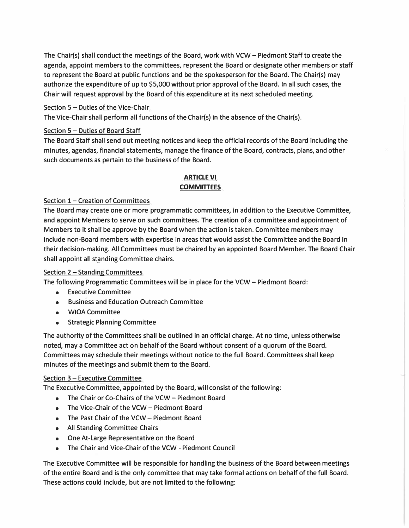**The Chair(s) shall conduct the meetings of the Board, work with VCW - Piedmont Staff to create the agenda, appoint members to the committees, represent the Board or designate other members or staff to represent the Board at public functions and be the spokesperson for the Board. The Chair(s) may authorize the expenditure of up to \$5,000 without prior approval of the Board. In all such cases, the Chair will request approval by the Board of this expenditure at its next scheduled meeting.** 

#### **Section 5 - Duties of the Vice-Chair**

**The Vice-Chair shall perform all functions of the Chair(s) in the absence of the Chair(s).** 

#### **Section 5 - Duties of Board Staff**

**The Board Staff shall send out meeting notices and keep the official records of the Board including the minutes, agendas, financial statements, manage the finance of the Board, contracts, plans, and other such documents as pertain to the business of the Board.** 

#### **ARTICLE VI COMMITTEES**

#### **Section 1- Creation of Committees**

**The Board may create one or more programmatic committees, in addition to the Executive Committee, and appoint Members to serve on such committees. The creation of a committee and appointment of Members to it shall be approve by the Board when the action is taken. Committee members may include non-Board members with expertise in areas that would assist the Committee and the Board in their decision-making. All Committees must be chaired by an appointed Board Member. The Board Chair shall appoint all standing Committee chairs.** 

#### **Section 2 - Standing Committees**

**The following Programmatic Committees will be in place for the VCW- Piedmont Board:** 

- **• Executive Committee**
- **• Business and Education Outreach Committee**
- **• WIOA Committee**
- **Strategic Planning Committee**

**The authority of the Committees shall be outlined in an official charge. At no time, unless otherwise noted, may a Committee act on behalf of the Board without consent of a quorum of the Board. Committees may schedule their meetings without notice to the full Board. Committees shall keep minutes of the meetings and submit them to the Board.** 

#### **Section 3 - Executive Committee**

**The Executive Committee, appointed by the Board, will consist of the following:** 

- **• The Chair or Co-Chairs of the VCW- Piedmont Board**
- **• The Vice-Chair of the VCW- Piedmont Board**
- **• The Past Chair of the VCW- Piedmont Board**
- **• All Standing Committee Chairs**
- **• One At-Large Representative on the Board**
- **• The Chair and Vice-Chair of the VCW - Piedmont Council**

**The Executive Committee will be responsible for handling the business of the Board between meetings of the entire Board and is the only committee that may take formal actions on behalf of the full Board. These actions could include, but are not limited to the following:**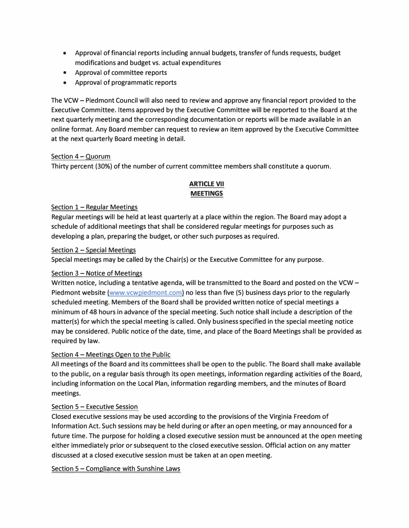- **• Approval of financial reports including annual budgets, transfer of funds requests, budget modifications and budget vs. actual expenditures**
- **• Approval of committee reports**
- **• Approval of programmatic reports**

**The VCW - Piedmont Council will also need to review and approve any financial report provided to the Executive Committee. Items approved by the Executive Committee will be reported to the Board at the next quarterly meeting and the corresponding documentation or reports will be made available in an on line format. Any Board member can request to review an item approved by the Executive Committee at the next quarterly Board meeting in detail.** 

#### **Section 4 - Quorum**

**Thirty percent (30%) of the number of current committee members shall constitute a quorum.** 

# **ARTICLE VII MEETINGS**

#### **Section 1- Regular Meetings**

**Regular meetings will be held at least quarterly at a place within the region. The Board may adopt a schedule of additional meetings that shall be considered regular meetings for purposes such as developing a plan, preparing the budget, or other such purposes as required.** 

#### **Section 2 - Special Meetings**

**Special meetings may be called by the Chair(s) or the Executive Committee for any purpose.** 

# **Section 3 - Notice of Meetings**

**Written notice, including a tentative agenda, will be transmitted to the Board and posted on the VCW - Piedmont website (www.vcwpiedmont.com) no less than five (5) business days prior to the regularly scheduled meeting. Members of the Board shall be provided written notice of special meetings a minimum of 48 hours in advance of the special meeting. Such notice shall include a description of the matter(s) for which the special meeting is called. Only business specified in the special meeting notice may be considered. Public notice of the date, time, and place of the Board Meetings shall be provided as required by law.** 

# **Section 4 - Meetings Open to the Public**

**All meetings of the Board and its committees shall be open to the public. The Board shall make available to the public, on a regular basis through its open meetings, information regarding activities of the Board, including information on the Local Plan, information regarding members, and the minutes of Board meetings.** 

#### **Section 5 - Executive Session**

**Closed executive sessions may be used according to the provisions of the Virginia Freedom of Information Act. Such sessions may be held during or after an open meeting, or may announced for a future time. The purpose for holding a closed executive session must be announced at the open meeting either immediately prior or subsequent to the closed executive session. Official action on any matter discussed at a closed executive session must be taken at an open meeting.** 

**Section 5 - Compliance with Sunshine Laws**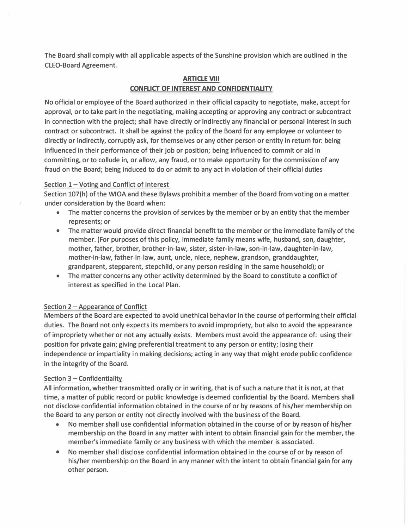**The Board shall comply with all applicable aspects of the Sunshine provision which are outlined in the CLEO-Board Agreement.** 

#### **ARTICLE VIII CONFLICT OF INTEREST AND CONFIDENTIALITY**

**No official or employee of the Board authorized in their official capacity to negotiate, make, accept for approval, or to take part in the negotiating, making accepting or approving any contract or subcontract in connection with the project; shall have directly or indirectly any financial or personal interest in such contract or subcontract. It shall be against the policy of the Board for any employee or volunteer to directly or indirectly, corruptly ask, for themselves or any other person or entity in return for: being influenced in their performance of their job or position; being influenced to commit or aid in committing, or to collude in, or allow, any fraud, or to make opportunity for the commission of any fraud on the Board; being induced to do or admit to any act in violation of their official duties** 

#### **Section 1- Voting and Conflict of Interest**

**Section 107(h) of the WIOA and these Bylaws prohibit a member of the Board from voting on a matter under consideration by the Board when:** 

- **• The matter concerns the provision of services by the member or by an entity that the member represents; or**
- **• The matter would provide direct financial benefit to the member or the immediate family of the member. (For purposes of this policy, immediate family means wife, husband, son, daughter, mother, father, brother, brother-in-law, sister, sister-in-law, son-in-law, daughter-in-law, mother-in-law, father-in-law, aunt, uncle, niece, nephew, grandson, granddaughter, grandparent, stepparent, stepchild, or any person residing in the same household); or**
- **• The matter concerns any other activity determined by the Board to constitute a conflict of interest as specified in the Local Plan.**

# **Section 2 - Appearance of Conflict**

**Members of the Board are expected to avoid unethical behavior in the course of performing their official duties. The Board not only expects its members to avoid impropriety, but also to avoid the appearance of impropriety whether or not any actually exists. Members must avoid the appearance of: using their position for private gain; giving preferential treatment to any person or entity; losing their independence or impartiality in making decisions; acting in any way that might erode public confidence in the integrity of the Board.** 

#### **Section 3 - Confidentiality**

**All information, whether transmitted orally or in writing, that is of such a nature that it is not, at that time, a matter of public record or public knowledge is deemed confidential by the Board. Members shall not disclose confidential information obtained in the course of or by reasons of his/her membership on the Board to any person or entity not directly involved with the business of the Board.** 

- **• No member shall use confidential information obtained in the course of or by reason of his/her membership on the Board in any matter with intent to obtain financial gain for the member, the member's immediate family or any business with which the member is associated.**
- **• No member shall disclose confidential information obtained in the course of or by reason of his/her membership on the Board in any manner with the intent to obtain financial gain for any other person.**